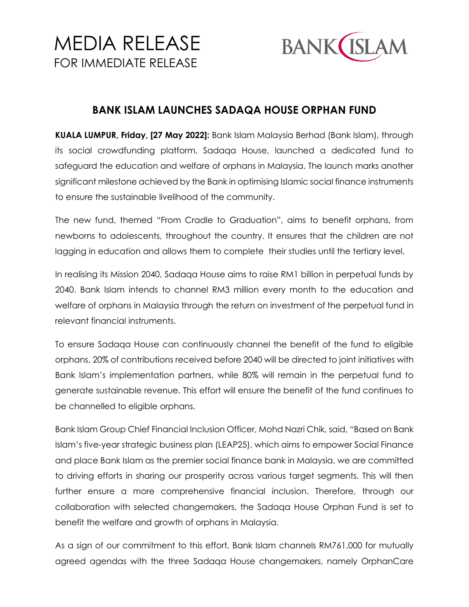## MEDIA RELEASE FOR IMMEDIATE RELEASE



## **BANK ISLAM LAUNCHES SADAQA HOUSE ORPHAN FUND**

**KUALA LUMPUR, Friday, [27 May 2022]:** Bank Islam Malaysia Berhad (Bank Islam), through its social crowdfunding platform, Sadaqa House, launched a dedicated fund to safeguard the education and welfare of orphans in Malaysia. The launch marks another significant milestone achieved by the Bank in optimising Islamic social finance instruments to ensure the sustainable livelihood of the community.

The new fund, themed "From Cradle to Graduation", aims to benefit orphans, from newborns to adolescents, throughout the country. It ensures that the children are not lagging in education and allows them to complete their studies until the tertiary level.

In realising its Mission 2040, Sadaqa House aims to raise RM1 billion in perpetual funds by 2040. Bank Islam intends to channel RM3 million every month to the education and welfare of orphans in Malaysia through the return on investment of the perpetual fund in relevant financial instruments.

To ensure Sadaqa House can continuously channel the benefit of the fund to eligible orphans, 20% of contributions received before 2040 will be directed to joint initiatives with Bank Islam's implementation partners, while 80% will remain in the perpetual fund to generate sustainable revenue. This effort will ensure the benefit of the fund continues to be channelled to eligible orphans.

Bank Islam Group Chief Financial Inclusion Officer, Mohd Nazri Chik, said, "Based on Bank Islam's five-year strategic business plan (LEAP25), which aims to empower Social Finance and place Bank Islam as the premier social finance bank in Malaysia, we are committed to driving efforts in sharing our prosperity across various target segments. This will then further ensure a more comprehensive financial inclusion. Therefore, through our collaboration with selected changemakers, the Sadaqa House Orphan Fund is set to benefit the welfare and growth of orphans in Malaysia.

As a sign of our commitment to this effort, Bank Islam channels RM761,000 for mutually agreed agendas with the three Sadaqa House changemakers, namely OrphanCare